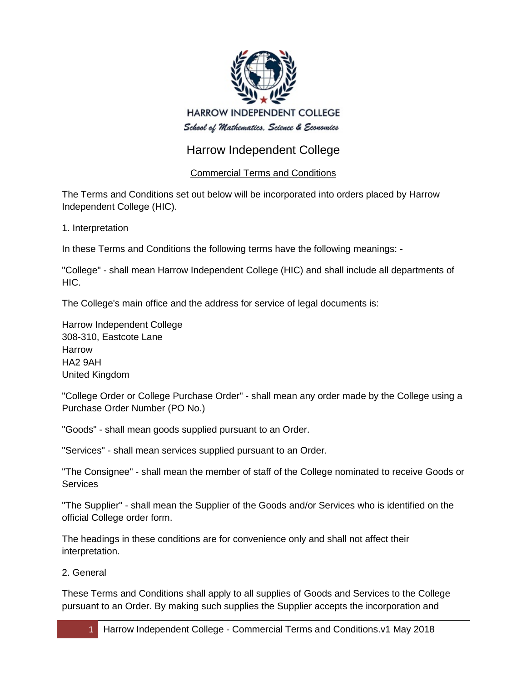

# Harrow Independent College

## Commercial Terms and Conditions

The Terms and Conditions set out below will be incorporated into orders placed by Harrow Independent College (HIC).

1. Interpretation

In these Terms and Conditions the following terms have the following meanings: -

"College" - shall mean Harrow Independent College (HIC) and shall include all departments of HIC.

The College's main office and the address for service of legal documents is:

Harrow Independent College 308-310, Eastcote Lane Harrow HA2 9AH United Kingdom

"College Order or College Purchase Order" - shall mean any order made by the College using a Purchase Order Number (PO No.)

"Goods" - shall mean goods supplied pursuant to an Order.

"Services" - shall mean services supplied pursuant to an Order.

"The Consignee" - shall mean the member of staff of the College nominated to receive Goods or **Services** 

"The Supplier" - shall mean the Supplier of the Goods and/or Services who is identified on the official College order form.

The headings in these conditions are for convenience only and shall not affect their interpretation.

## 2. General

These Terms and Conditions shall apply to all supplies of Goods and Services to the College pursuant to an Order. By making such supplies the Supplier accepts the incorporation and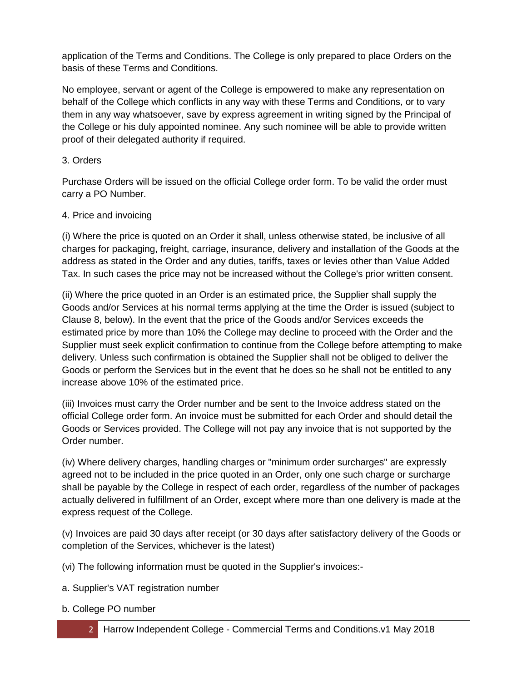application of the Terms and Conditions. The College is only prepared to place Orders on the basis of these Terms and Conditions.

No employee, servant or agent of the College is empowered to make any representation on behalf of the College which conflicts in any way with these Terms and Conditions, or to vary them in any way whatsoever, save by express agreement in writing signed by the Principal of the College or his duly appointed nominee. Any such nominee will be able to provide written proof of their delegated authority if required.

## 3. Orders

Purchase Orders will be issued on the official College order form. To be valid the order must carry a PO Number.

#### 4. Price and invoicing

(i) Where the price is quoted on an Order it shall, unless otherwise stated, be inclusive of all charges for packaging, freight, carriage, insurance, delivery and installation of the Goods at the address as stated in the Order and any duties, tariffs, taxes or levies other than Value Added Tax. In such cases the price may not be increased without the College's prior written consent.

(ii) Where the price quoted in an Order is an estimated price, the Supplier shall supply the Goods and/or Services at his normal terms applying at the time the Order is issued (subject to Clause 8, below). In the event that the price of the Goods and/or Services exceeds the estimated price by more than 10% the College may decline to proceed with the Order and the Supplier must seek explicit confirmation to continue from the College before attempting to make delivery. Unless such confirmation is obtained the Supplier shall not be obliged to deliver the Goods or perform the Services but in the event that he does so he shall not be entitled to any increase above 10% of the estimated price.

(iii) Invoices must carry the Order number and be sent to the Invoice address stated on the official College order form. An invoice must be submitted for each Order and should detail the Goods or Services provided. The College will not pay any invoice that is not supported by the Order number.

(iv) Where delivery charges, handling charges or "minimum order surcharges" are expressly agreed not to be included in the price quoted in an Order, only one such charge or surcharge shall be payable by the College in respect of each order, regardless of the number of packages actually delivered in fulfillment of an Order, except where more than one delivery is made at the express request of the College.

(v) Invoices are paid 30 days after receipt (or 30 days after satisfactory delivery of the Goods or completion of the Services, whichever is the latest)

(vi) The following information must be quoted in the Supplier's invoices:-

- a. Supplier's VAT registration number
- b. College PO number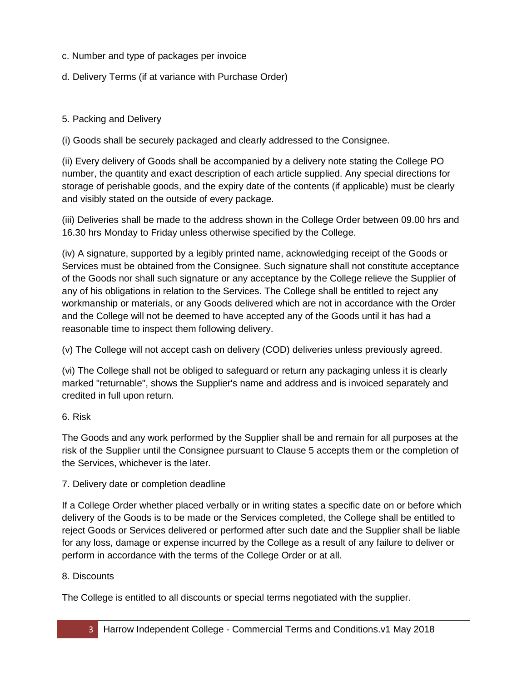- c. Number and type of packages per invoice
- d. Delivery Terms (if at variance with Purchase Order)

#### 5. Packing and Delivery

(i) Goods shall be securely packaged and clearly addressed to the Consignee.

(ii) Every delivery of Goods shall be accompanied by a delivery note stating the College PO number, the quantity and exact description of each article supplied. Any special directions for storage of perishable goods, and the expiry date of the contents (if applicable) must be clearly and visibly stated on the outside of every package.

(iii) Deliveries shall be made to the address shown in the College Order between 09.00 hrs and 16.30 hrs Monday to Friday unless otherwise specified by the College.

(iv) A signature, supported by a legibly printed name, acknowledging receipt of the Goods or Services must be obtained from the Consignee. Such signature shall not constitute acceptance of the Goods nor shall such signature or any acceptance by the College relieve the Supplier of any of his obligations in relation to the Services. The College shall be entitled to reject any workmanship or materials, or any Goods delivered which are not in accordance with the Order and the College will not be deemed to have accepted any of the Goods until it has had a reasonable time to inspect them following delivery.

(v) The College will not accept cash on delivery (COD) deliveries unless previously agreed.

(vi) The College shall not be obliged to safeguard or return any packaging unless it is clearly marked "returnable", shows the Supplier's name and address and is invoiced separately and credited in full upon return.

#### 6. Risk

The Goods and any work performed by the Supplier shall be and remain for all purposes at the risk of the Supplier until the Consignee pursuant to Clause 5 accepts them or the completion of the Services, whichever is the later.

#### 7. Delivery date or completion deadline

If a College Order whether placed verbally or in writing states a specific date on or before which delivery of the Goods is to be made or the Services completed, the College shall be entitled to reject Goods or Services delivered or performed after such date and the Supplier shall be liable for any loss, damage or expense incurred by the College as a result of any failure to deliver or perform in accordance with the terms of the College Order or at all.

#### 8. Discounts

The College is entitled to all discounts or special terms negotiated with the supplier.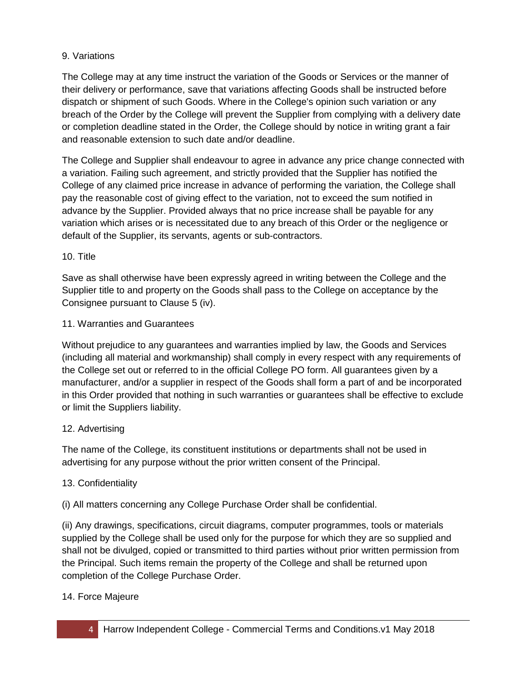#### 9. Variations

The College may at any time instruct the variation of the Goods or Services or the manner of their delivery or performance, save that variations affecting Goods shall be instructed before dispatch or shipment of such Goods. Where in the College's opinion such variation or any breach of the Order by the College will prevent the Supplier from complying with a delivery date or completion deadline stated in the Order, the College should by notice in writing grant a fair and reasonable extension to such date and/or deadline.

The College and Supplier shall endeavour to agree in advance any price change connected with a variation. Failing such agreement, and strictly provided that the Supplier has notified the College of any claimed price increase in advance of performing the variation, the College shall pay the reasonable cost of giving effect to the variation, not to exceed the sum notified in advance by the Supplier. Provided always that no price increase shall be payable for any variation which arises or is necessitated due to any breach of this Order or the negligence or default of the Supplier, its servants, agents or sub-contractors.

#### 10. Title

Save as shall otherwise have been expressly agreed in writing between the College and the Supplier title to and property on the Goods shall pass to the College on acceptance by the Consignee pursuant to Clause 5 (iv).

#### 11. Warranties and Guarantees

Without prejudice to any guarantees and warranties implied by law, the Goods and Services (including all material and workmanship) shall comply in every respect with any requirements of the College set out or referred to in the official College PO form. All guarantees given by a manufacturer, and/or a supplier in respect of the Goods shall form a part of and be incorporated in this Order provided that nothing in such warranties or guarantees shall be effective to exclude or limit the Suppliers liability.

#### 12. Advertising

The name of the College, its constituent institutions or departments shall not be used in advertising for any purpose without the prior written consent of the Principal.

#### 13. Confidentiality

(i) All matters concerning any College Purchase Order shall be confidential.

(ii) Any drawings, specifications, circuit diagrams, computer programmes, tools or materials supplied by the College shall be used only for the purpose for which they are so supplied and shall not be divulged, copied or transmitted to third parties without prior written permission from the Principal. Such items remain the property of the College and shall be returned upon completion of the College Purchase Order.

#### 14. Force Majeure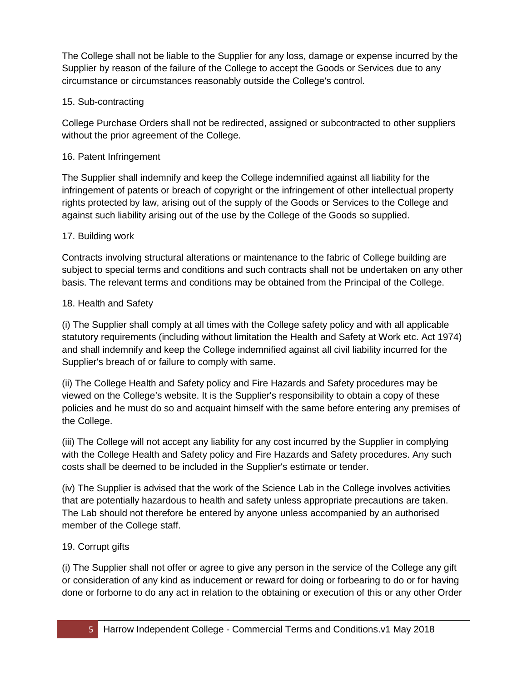The College shall not be liable to the Supplier for any loss, damage or expense incurred by the Supplier by reason of the failure of the College to accept the Goods or Services due to any circumstance or circumstances reasonably outside the College's control.

### 15. Sub-contracting

College Purchase Orders shall not be redirected, assigned or subcontracted to other suppliers without the prior agreement of the College.

#### 16. Patent Infringement

The Supplier shall indemnify and keep the College indemnified against all liability for the infringement of patents or breach of copyright or the infringement of other intellectual property rights protected by law, arising out of the supply of the Goods or Services to the College and against such liability arising out of the use by the College of the Goods so supplied.

#### 17. Building work

Contracts involving structural alterations or maintenance to the fabric of College building are subject to special terms and conditions and such contracts shall not be undertaken on any other basis. The relevant terms and conditions may be obtained from the Principal of the College.

#### 18. Health and Safety

(i) The Supplier shall comply at all times with the College safety policy and with all applicable statutory requirements (including without limitation the Health and Safety at Work etc. Act 1974) and shall indemnify and keep the College indemnified against all civil liability incurred for the Supplier's breach of or failure to comply with same.

(ii) The College Health and Safety policy and Fire Hazards and Safety procedures may be viewed on the College's website. It is the Supplier's responsibility to obtain a copy of these policies and he must do so and acquaint himself with the same before entering any premises of the College.

(iii) The College will not accept any liability for any cost incurred by the Supplier in complying with the College Health and Safety policy and Fire Hazards and Safety procedures. Any such costs shall be deemed to be included in the Supplier's estimate or tender.

(iv) The Supplier is advised that the work of the Science Lab in the College involves activities that are potentially hazardous to health and safety unless appropriate precautions are taken. The Lab should not therefore be entered by anyone unless accompanied by an authorised member of the College staff.

## 19. Corrupt gifts

(i) The Supplier shall not offer or agree to give any person in the service of the College any gift or consideration of any kind as inducement or reward for doing or forbearing to do or for having done or forborne to do any act in relation to the obtaining or execution of this or any other Order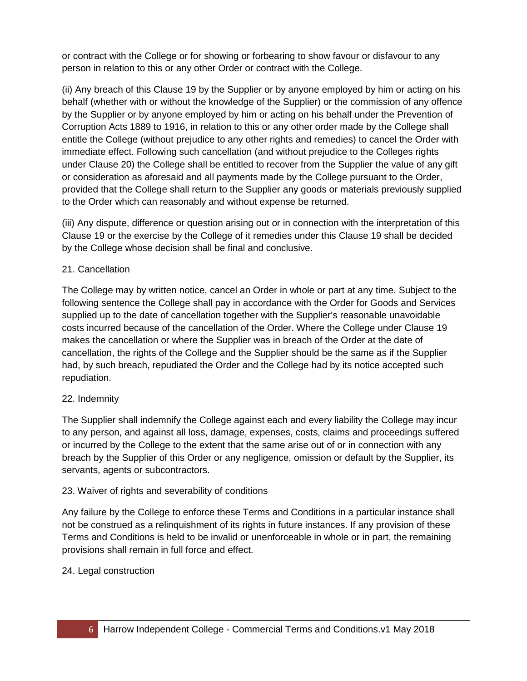or contract with the College or for showing or forbearing to show favour or disfavour to any person in relation to this or any other Order or contract with the College.

(ii) Any breach of this Clause 19 by the Supplier or by anyone employed by him or acting on his behalf (whether with or without the knowledge of the Supplier) or the commission of any offence by the Supplier or by anyone employed by him or acting on his behalf under the Prevention of Corruption Acts 1889 to 1916, in relation to this or any other order made by the College shall entitle the College (without prejudice to any other rights and remedies) to cancel the Order with immediate effect. Following such cancellation (and without prejudice to the Colleges rights under Clause 20) the College shall be entitled to recover from the Supplier the value of any gift or consideration as aforesaid and all payments made by the College pursuant to the Order, provided that the College shall return to the Supplier any goods or materials previously supplied to the Order which can reasonably and without expense be returned.

(iii) Any dispute, difference or question arising out or in connection with the interpretation of this Clause 19 or the exercise by the College of it remedies under this Clause 19 shall be decided by the College whose decision shall be final and conclusive.

#### 21. Cancellation

The College may by written notice, cancel an Order in whole or part at any time. Subject to the following sentence the College shall pay in accordance with the Order for Goods and Services supplied up to the date of cancellation together with the Supplier's reasonable unavoidable costs incurred because of the cancellation of the Order. Where the College under Clause 19 makes the cancellation or where the Supplier was in breach of the Order at the date of cancellation, the rights of the College and the Supplier should be the same as if the Supplier had, by such breach, repudiated the Order and the College had by its notice accepted such repudiation.

#### 22. Indemnity

The Supplier shall indemnify the College against each and every liability the College may incur to any person, and against all loss, damage, expenses, costs, claims and proceedings suffered or incurred by the College to the extent that the same arise out of or in connection with any breach by the Supplier of this Order or any negligence, omission or default by the Supplier, its servants, agents or subcontractors.

#### 23. Waiver of rights and severability of conditions

Any failure by the College to enforce these Terms and Conditions in a particular instance shall not be construed as a relinquishment of its rights in future instances. If any provision of these Terms and Conditions is held to be invalid or unenforceable in whole or in part, the remaining provisions shall remain in full force and effect.

#### 24. Legal construction